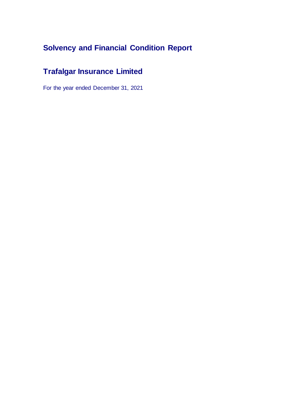# **Solvency and Financial Condition Report**

# **Trafalgar Insurance Limited**

For the year ended December 31, 2021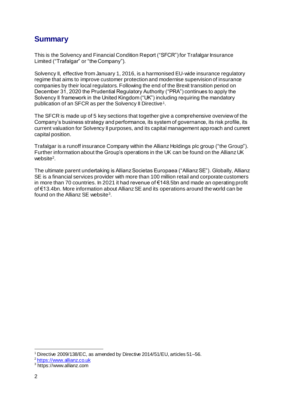## **Summary**

This is the Solvency and Financial Condition Report ("SFCR") for Trafalgar Insurance Limited ("Trafalgar" or "the Company").

Solvency II, effective from January 1, 2016, is a harmonised EU-wide insurance regulatory regime that aims to improve customer protection and modernise supervision of insurance companies by their local regulators. Following the end of the Brexit transition period on December 31, 2020 the Prudential Regulatory Authority ("PRA") continues to apply the Solvency II framework in the United Kingdom ("UK") including requiring the mandatory publication of an SFCR as per the Solvency II Directive 1 .

The SFCR is made up of 5 key sections that together give a comprehensive overview of the Company's business strategy and performance, its system of governance, its risk profile, its current valuation for Solvency II purposes, and its capital management approach and current capital position.

Trafalgar is a runoff insurance Company within the Allianz Holdings plc group ("the Group"). Further information about the Group's operations in the UK can be found on the Allianz UK website<sup>2</sup> .

The ultimate parent undertaking is Allianz Societas Europaea ("Allianz SE"). Globally, Allianz SE is a financial services provider with more than 100 million retail and corporate customers in more than 70 countries. In 2021 it had revenue of €148.5bn and made an operating profit of €13.4bn. More information about Allianz SE and its operations around the world can be found on the Allianz SE website<sup>3</sup>.

<sup>1</sup> Directive 2009/138/EC, as amended by Directive 2014/51/EU, articles 51–56.

<sup>2</sup> [https://www.allianz.co.uk](https://www.allianz.co.uk/about-allianz-insurance.html)

<sup>3</sup> https://www.allianz.com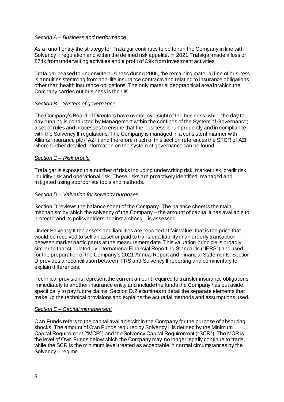#### *Section A – Business and performance*

As a runoff entity the strategy for Trafalgar continues to be to run the Company in line with Solvency II regulation and within the defined risk appetite. In 2021 Trafalgar made a loss of £74k from underwriting activities and a profit of £9k from investment activities.

Trafalgar ceased to underwrite business during 2006, the remaining material line of business is annuities stemming from non-life insurance contracts and relating to insurance obligations other than health insurance obligations. The only material geographical area in which the Company carries out business is the UK.

#### *Section B – System of governance*

The Company's Board of Directors have overall oversight of the business, while the day to day running is conducted by Management within the confines of the System of Governance; a set of rules and processes to ensure that the business is run prudently and in compliance with the Solvency II regulations. The Company is managed in a consistent manner with Allianz Insurance plc ("AZI") and therefore much of this section references the SFCR of AZI where further detailed information on the system of governance can be found.

#### *Section C – Risk profile*

Trafalgar is exposed to a number of risks including underwriting risk, market risk, credit risk, liquidity risk and operational risk. These risks are proactively identified, managed and mitigated using appropriate tools and methods.

#### *Section D – Valuation for solvency purposes*

Section D reviews the balance sheet of the Company. The balance sheet is the main mechanism by which the solvency of the Company – the amount of capital it has available to protect it and its policyholders against a shock – is assessed.

Under Solvency II the assets and liabilities are reported at fair value; that is the price that would be received to sell an asset or paid to transfer a liability in an orderly transaction between market participants at the measurement date. This valuation principle is broadly similar to that stipulated by International Financial Reporting Standards ("IFRS") and used for the preparation of the Company's 2021 Annual Report and Financial Statements. Section D provides a reconciliation between IFRS and Solvency II reporting and commentary to explain differences.

Technical provisions represent the current amount required to transfer insurance obligations immediately to another insurance entity and include the funds the Company has put aside specifically to pay future claims. Section D.2 examines in detail the separate elements that make up the technical provisions and explains the actuarial methods and assumptions used.

#### *Section E – Capital management*

Own Funds refers to the capital available within the Company for the purpose of absorbing shocks. The amount of Own Funds required by Solvency II is defined by the Minimum Capital Requirement ("MCR") and the Solvency Capital Requirement ("SCR"). The MCR is the level of Own Funds below which the Company may no longer legally continue to trade, while the SCR is the minimum level treated as acceptable in normal circumstances by the Solvency II regime.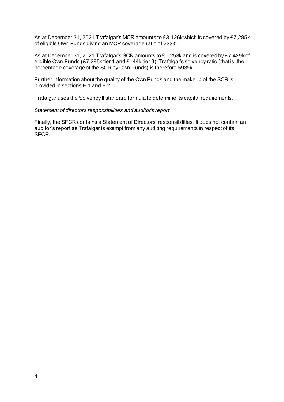As at December 31, 2021 Trafalgar's MCR amounts to £3,126k which is covered by £7,285k of eligible Own Funds giving an MCR coverage ratio of 233%.

As at December 31, 2021 Trafalgar's SCR amounts to £1,253k and is covered by £7,429k of eligible Own Funds (£7,285k tier 1 and £144k tier 3). Trafalgar's solvency ratio (that is, the percentage coverage of the SCR by Own Funds) is therefore 593%.

Further information about the quality of the Own Funds and the makeup of the SCR is provided in sections E.1 and E.2.

Trafalgar uses the Solvency II standard formula to determine its capital requirements.

#### *Statement of directors responsibilities and auditor's report*

Finally, the SFCR contains a Statement of Directors' responsibilities. It does not contain an auditor's report as Trafalgar is exempt from any auditing requirements in respect of its SFCR.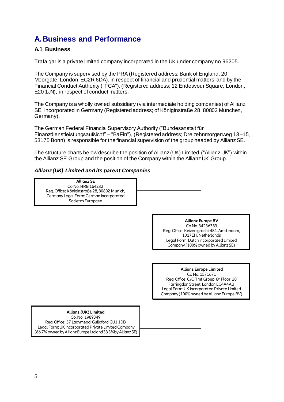## **A. Business and Performance**

### **A.1 Business**

Trafalgar is a private limited company incorporated in the UK under company no 96205.

The Company is supervised by the PRA (Registered address; Bank of England, 20 Moorgate, London, EC2R 6DA), in respect of financial and prudential matters, and by the Financial Conduct Authority ("FCA"), (Registered address; 12 Endeavour Square, London, E20 1JN), in respect of conduct matters.

The Company is a wholly owned subsidiary (via intermediate holding companies) of Allianz SE, incorporated in Germany (Registered address; of Königinstraße 28, 80802 München, Germany).

The German Federal Financial Supervisory Authority ("Bundesanstalt für Finanzdienstleistungsaufsicht" – "BaFin"), (Registered address; Dreizehnmorgenweg 13–15, 53175 Bonn) is responsible for the financial supervision of the group headed by Allianz SE.

The structure charts below describe the position of Allianz (UK) Limited ("Allianz UK") within the Allianz SE Group and the position of the Company within the Allianz UK Group.



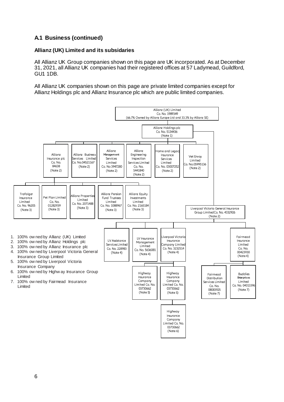## **A.1 Business (continued)**

#### **Allianz (UK) Limited and its subsidaries**

All Allianz UK Group companies shown on this page are UK incorporated. As at December 31, 2021, all Allianz UK companies had their registered offices at 57 Ladymead, Guildford, GU1 1DB.

All Allianz UK companies shown on this page are private limited companies except for Allianz Holdings plc and Allianz Insurance plc which are public limited companies.

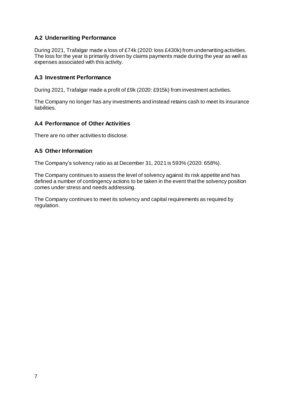### **A.2 Underwriting Performance**

During 2021, Trafalgar made a loss of £74k (2020: loss £430k) from underwriting activities. The loss for the year is primarily driven by claims payments made during the year as well as expenses associated with this activity.

#### **A.3 Investment Performance**

During 2021, Trafalgar made a profit of £9k (2020: £915k) from investment activities.

The Company no longer has any investments and instead retains cash to meet its insurance liabilities.

### **A.4 Performance of Other Activities**

There are no other activities to disclose.

#### **A.5 Other Information**

The Company's solvency ratio as at December 31, 2021 is 593% (2020: 658%).

The Company continues to assess the level of solvency against its risk appetite and has defined a number of contingency actions to be taken in the event that the solvency position comes under stress and needs addressing.

The Company continues to meet its solvency and capital requirements as required by regulation.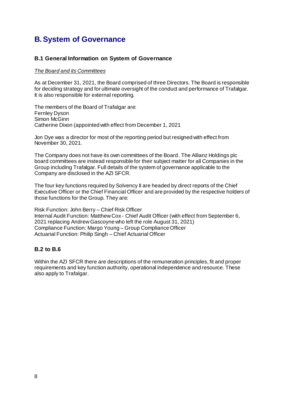## **B.System of Governance**

#### **B.1 General Information on System of Governance**

#### *The Board and its Committees*

As at December 31, 2021, the Board comprised of three Directors. The Board is responsible for deciding strategy and for ultimate oversight of the conduct and performance of Trafalgar. It is also responsible for external reporting.

The members of the Board of Trafalgar are: Fernley Dyson Simon McGinn Catherine Dixon (appointed with effect from December 1, 2021

Jon Dye was a director for most of the reporting period but resigned with effect from November 30, 2021.

The Company does not have its own committees of the Board. The Allianz Holdings plc board committees are instead responsible for their subject matter for all Companies in the Group including Trafalgar. Full details of the system of governance applicable to the Company are disclosed in the AZI SFCR.

The four key functions required by Solvency II are headed by direct reports of the Chief Executive Officer or the Chief Financial Officer and are provided by the respective holders of those functions for the Group. They are:

Risk Function: John Berry – Chief Risk Officer Internal Audit Function: Matthew Cox - Chief Audit Officer (with effect from September 6, 2021 replacing Andrew Gascoyne who left the role August 31, 2021) Compliance Function: Margo Young – Group Compliance Officer Actuarial Function: Philip Singh – Chief Actuarial Officer

#### **B.2 to B.6**

Within the AZI SFCR there are descriptions of the remuneration principles, fit and proper requirements and key function authority, operational independence and resource. These also apply to Trafalgar.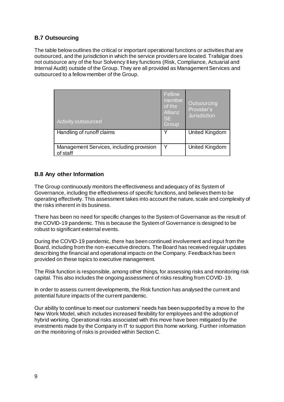### **B.7 Outsourcing**

The table below outlines the critical or important operational functions or activities that are outsourced, and the jurisdiction in which the service providers are located. Trafalgar does not outsource any of the four Solvency II key functions (Risk, Compliance, Actuarial and Internal Audit) outside of the Group. They are all provided as Management Services and outsourced to a fellow member of the Group.

| Activity outsourced                                  | Fellow<br>member<br>of the<br>Allianz<br><b>SE</b><br><b>Group</b> | Outsourcing<br>Provider's<br><b>Jurisdiction</b> |
|------------------------------------------------------|--------------------------------------------------------------------|--------------------------------------------------|
| Handling of runoff claims                            | v                                                                  | United Kingdom                                   |
| Management Services, including provision<br>of staff | v                                                                  | United Kingdom                                   |

#### **B.8 Any other Information**

The Group continuously monitors the effectiveness and adequacy of its System of Governance, including the effectiveness of specific functions, and believes them to be operating effectively. This assessment takes into account the nature, scale and complexity of the risks inherent in its business.

There has been no need for specific changes to the System of Governance as the result of the COVID-19 pandemic. This is because the System of Governance is designed to be robust to significant external events.

During the COVID-19 pandemic, there has been continued involvement and input from the Board, including from the non-executive directors. The Board has received regular updates describing the financial and operational impacts on the Company. Feedback has been provided on these topics to executive management.

The Risk function is responsible, among other things, for assessing risks and monitoring risk capital. This also includes the ongoing assessment of risks resulting from COVID-19.

In order to assess current developments, the Risk function has analysed the current and potential future impacts of the current pandemic.

Our ability to continue to meet our customers' needs has been supported by a move to the New Work Model, which includes increased flexibility for employees and the adoption of hybrid working. Operational risks associated with this move have been mitigated by the investments made by the Company in IT to support this home working. Further information on the monitoring of risks is provided within Section C.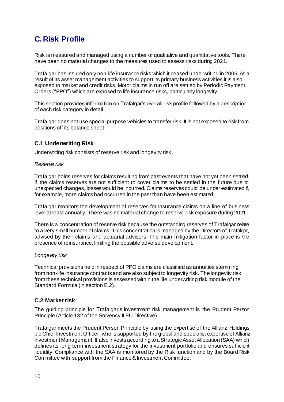## **C. Risk Profile**

Risk is measured and managed using a number of qualitative and quantitative tools. There have been no material changes to the measures used to assess risks during 2021.

Trafalgar has insured only non-life insurance risks which it ceased underwriting in 2006. As a result of its asset management activities to support its primary business activities it is also exposed to market and credit risks. Motor claims in run off are settled by Periodic Payment Orders ("PPO") which are exposed to life insurance risks, particularly longevity.

This section provides information on Trafalgar's overall risk profile followed by a description of each risk category in detail.

Trafalgar does not use special purpose vehicles to transfer risk. It is not exposed to risk from positions off its balance sheet.

#### **C.1 Underwriting Risk**

Underwriting risk consists of reserve risk and longevity risk.

#### *Reserve risk*

Trafalgar holds reserves for claims resulting from past events that have not yet been settled. If the claims reserves are not sufficient to cover claims to be settled in the future due to unexpected changes, losses would be incurred. Claims reserves could be under-estimated if, for example, more claims had occurred in the past than have been estimated.

Trafalgar monitors the development of reserves for insurance claims on a line of business level at least annually. There was no material change to reserve risk exposure during 2021.

There is a concentration of reserve risk because the outstanding reserves of Trafalgar relate to a very small number of claims. This concentration is managed by the Directors of Trafalgar, advised by their claims and actuarial advisors. The main mitigation factor in place is the presence of reinsurance, limiting the possible adverse development.

#### *Longevity risk*

Technical provisions held in respect of PPO claims are classified as annuities stemming from non-life insurance contracts and are also subject to longevity risk. The longevity risk from these technical provisions is assessed within the life underwriting risk module of the Standard Formula (in section E.2).

#### **C.2 Market risk**

The guiding principle for Trafalgar's investment risk management is the Prudent Person Principle (Article 132 of the Solvency II EU Directive).

Trafalgar meets the Prudent Person Principle by using the expertise of the Allianz Holdings plc Chief Investment Officer, who is supported by the global and specialist expertise of Allianz Investment Management. It also invests according to a Strategic Asset Allocation (SAA) which defines its long term investment strategy for the investment portfolio and ensures sufficient liquidity. Compliance with the SAA is monitored by the Risk function and by the Board Risk Committee with support from the Finance& Investment Committee.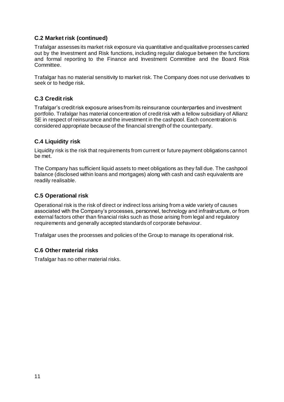### **C.2 Market risk (continued)**

Trafalgar assesses its market risk exposure via quantitative and qualitative processes carried out by the Investment and Risk functions, including regular dialogue between the functions and formal reporting to the Finance and Investment Committee and the Board Risk Committee.

Trafalgar has no material sensitivity to market risk. The Company does not use derivatives to seek or to hedge risk.

#### **C.3 Credit risk**

Trafalgar's credit risk exposure arises from its reinsurance counterparties and investment portfolio. Trafalgar has material concentration of credit risk with a fellow subsidiary of Allianz SE in respect of reinsurance and the investment in the cashpool. Each concentration is considered appropriate because of the financial strength of the counterparty.

#### **C.4 Liquidity risk**

Liquidity risk is the risk that requirements from current or future payment obligations cannot be met.

The Company has sufficient liquid assets to meet obligations as they fall due. The cashpool balance (disclosed within loans and mortgages) along with cash and cash equivalents are readily realisable.

#### **C.5 Operational risk**

Operational risk is the risk of direct or indirect loss arising from a wide variety of causes associated with the Company's processes, personnel, technology and infrastructure, or from external factors other than financial risks such as those arising from legal and regulatory requirements and generally accepted standards of corporate behaviour.

Trafalgar uses the processes and policies of the Group to manage its operational risk.

#### **C.6 Other material risks**

Trafalgar has no other material risks.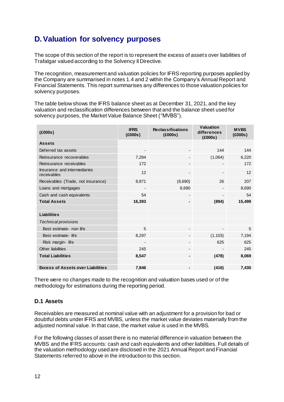## **D.Valuation for solvency purposes**

The scope of this section of the report is to represent the excess of assets over liabilities of Trafalgar valued according to the Solvency II Directive.

The recognition, measurement and valuation policies for IFRS reporting purposes applied by the Company are summarised in notes 1.4 and 2 within the Company's Annual Report and Financial Statements. This report summarises any differences to those valuation policies for solvency purposes.

The table belowshows the IFRS balance sheet as at December 31, 2021, and the key valuation and reclassification differences between that and the balance sheet used for solvency purposes, the Market Value Balance Sheet ("MVBS").

| (£000s)                                     | <b>IFRS</b><br>(£000s)   | <b>Reclassifications</b><br>(£000s) | <b>Valuation</b><br>differences<br>(£000s) | <b>MVBS</b><br>(£000s) |
|---------------------------------------------|--------------------------|-------------------------------------|--------------------------------------------|------------------------|
| <b>Assets</b>                               |                          |                                     |                                            |                        |
| Deferred tax assets                         | $\overline{\phantom{a}}$ |                                     | 144                                        | 144                    |
| Reinsurance recoverables                    | 7,284                    |                                     | (1,064)                                    | 6,220                  |
| Reinsurance receivables                     | 172                      |                                     |                                            | 172                    |
| Insurance and intermediaries<br>receivables | 12                       |                                     | -                                          | 12                     |
| Receivables (Trade, not insurance)          | 8,871                    | (8,690)                             | 26                                         | 207                    |
| Loans and mortgages                         |                          | 8,690                               |                                            | 8,690                  |
| Cash and cash equivalents                   | 54                       |                                     | $\overline{\phantom{a}}$                   | 54                     |
| <b>Total Assets</b>                         | 16,393                   | ۰                                   | (894)                                      | 15,499                 |
|                                             |                          |                                     |                                            |                        |
| <b>Liabilities</b>                          |                          |                                     |                                            |                        |
| <b>Technical provisions</b>                 |                          |                                     |                                            |                        |
| Best estimate- non life                     | 5                        |                                     | $\qquad \qquad \blacksquare$               | 5                      |
| Best estimate-life                          | 8,297                    |                                     | (1, 103)                                   | 7,194                  |
| Risk margin-life                            | -                        |                                     | 625                                        | 625                    |
| Other liabilities                           | 245                      | -                                   |                                            | 245                    |
| <b>Total Liabilities</b>                    | 8,547                    |                                     | (478)                                      | 8,069                  |
|                                             |                          |                                     |                                            |                        |
| <b>Excess of Assets over Liabilities</b>    | 7,846                    |                                     | (416)                                      | 7,430                  |

There were no changes made to the recognition and valuation bases used or of the methodology for estimations during the reporting period.

### **D.1 Assets**

Receivables are measured at nominal value with an adjustment for a provision for bad or doubtful debts under IFRS and MVBS, unless the market value deviates materially from the adjusted nominal value. In that case, the market value is used in the MVBS.

For the following classes of asset there is no material difference in valuation between the MVBS and the IFRS accounts: cash and cash equivalents and other liabilities. Full details of the valuation methodology used are disclosed in the 2021 Annual Report and Financial Statements referred to above in the introduction to this section.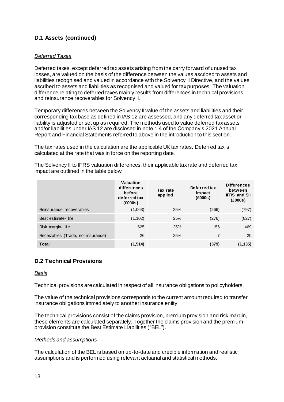## **D.1 Assets (continued)**

#### *Deferred Taxes*

Deferred taxes, except deferred tax assets arising from the carry forward of unused tax losses, are valued on the basis of the difference between the values ascribed to assets and liabilities recognised and valued in accordance with the Solvency II Directive, and the values ascribed to assets and liabilities as recognised and valued for tax purposes. The valuation difference relating to deferred taxes mainly results from differences in technical provisions and reinsurance recoverables for Solvency II.

Temporary differences between the Solvency II value of the assets and liabilities and their corresponding tax base as defined in IAS 12 are assessed, and any deferred tax asset or liability is adjusted or set up as required. The methods used to value deferred tax assets and/or liabilities under IAS 12 are disclosed in note 1.4 of the Company's 2021 Annual Report and Financial Statements referred to above in the introduction to this section.

The tax rates used in the calculation are the applicable UK tax rates. Deferred tax is calculated at the rate that was in force on the reporting date.

The Solvency II to IFRS valuation differences, their applicable tax rate and deferred tax impact are outlined in the table below.

|                                    | <b>Valuation</b><br>differences<br>before<br>deferred tax<br>(£000s) | Tax rate<br>applied | Deferred tax<br>im pact<br>(£000s) | <b>Differences</b><br>between<br><b>IFRS and SII</b><br>(£000s) |
|------------------------------------|----------------------------------------------------------------------|---------------------|------------------------------------|-----------------------------------------------------------------|
| Reinsurance recoverables           | (1,063)                                                              | 25%                 | (266)                              | (797)                                                           |
| Best estimate-life                 | (1, 102)                                                             | 25%                 | (276)                              | (827)                                                           |
| Risk margin-life                   | 625                                                                  | 25%                 | 156                                | 469                                                             |
| Receivables (Trade, not insurance) | 26                                                                   | 25%                 | $\overline{7}$                     | 20                                                              |
| <b>Total</b>                       | (1, 514)                                                             |                     | (379)                              | (1, 135)                                                        |

### **D.2 Technical Provisions**

#### *Basis*

Technical provisions are calculated in respect of all insurance obligations to policyholders.

The value of the technical provisions corresponds to the current amount required to transfer insurance obligations immediately to another insurance entity.

The technical provisions consist of the claims provision, premium provision and risk margin, these elements are calculated separately. Together the claims provision and the premium provision constitute the Best Estimate Liabilities ("BEL").

#### *Methods and assumptions*

The calculation of the BEL is based on up-to-date and credible information and realistic assumptions and is performed using relevant actuarial and statistical methods.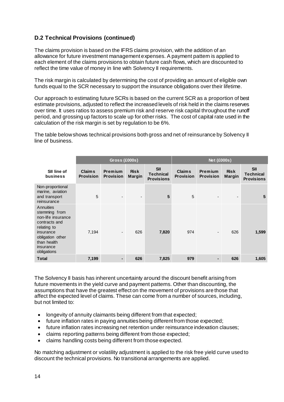## **D.2 Technical Provisions (continued)**

The claims provision is based on the IFRS claims provision, with the addition of an allowance for future investment management expenses. A payment pattern is applied to each element of the claims provisions to obtain future cash flows, which are discounted to reflect the time value of money in line with Solvency II requirements.

The risk margin is calculated by determining the cost of providing an amount of eligible own funds equal to the SCR necessary to support the insurance obligations over their lifetime.

Our approach to estimating future SCRs is based on the current SCR as a proportion of best estimate provisions, adjusted to reflect the increased levels of risk held in the claims reserves over time. It uses ratios to assess premium risk and reserve risk capital throughout the runoff period, and grossing up factors to scale up for other risks. The cost of capital rate used in the calculation of the risk margin is set by regulation to be 6%.

The table below shows technical provisions both gross and net of reinsurance by Solvency II line of business.

|                                                                                                                                                              |                                   | <b>Gross (£000s)</b>               |                              |                                                     |                                   | <b>Net (£000s)</b>          |                              |                                                     |
|--------------------------------------------------------------------------------------------------------------------------------------------------------------|-----------------------------------|------------------------------------|------------------------------|-----------------------------------------------------|-----------------------------------|-----------------------------|------------------------------|-----------------------------------------------------|
| SII line of<br><b>business</b>                                                                                                                               | <b>Claims</b><br><b>Provision</b> | <b>Premium</b><br><b>Provision</b> | <b>Risk</b><br><b>Margin</b> | <b>SII</b><br><b>Technical</b><br><b>Provisions</b> | <b>Claims</b><br><b>Provision</b> | Premium<br><b>Provision</b> | <b>Risk</b><br><b>Margin</b> | <b>SII</b><br><b>Technical</b><br><b>Provisions</b> |
| Non-proportional<br>marine, aviation<br>and transport<br>reinsurance                                                                                         | 5                                 |                                    | $\overline{\phantom{a}}$     | 5                                                   | 5                                 |                             | $\overline{\phantom{a}}$     | 5                                                   |
| Annuities<br>stemming from<br>non-life insurance<br>contracts and<br>relating to<br>insurance<br>obligation other<br>than health<br>insurance<br>obligations | 7,194                             | $\overline{\phantom{a}}$           | 626                          | 7,820                                               | 974                               |                             | 626                          | 1,599                                               |
| <b>Total</b>                                                                                                                                                 | 7,199                             | ۰.                                 | 626                          | 7,825                                               | 979                               |                             | 626                          | 1,605                                               |

The Solvency II basis has inherent uncertainty around the discount benefit arising from future movements in the yield curve and payment patterns. Other than discounting, the assumptions that have the greatest effect on the movement of provisions are those that affect the expected level of claims. These can come from a number of sources, including, but not limited to:

- longevity of annuity claimants being different from that expected;
- future inflation rates in paying annuities being different from those expected;
- future inflation rates increasing net retention under reinsurance indexation clauses;
- claims reporting patterns being different from those expected;
- claims handling costs being different from those expected.

No matching adjustment or volatility adjustment is applied to the risk free yield curve used to discount the technical provisions. No transitional arrangements are applied.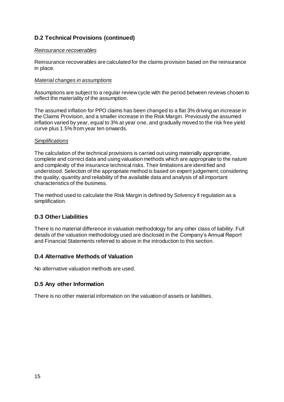### **D.2 Technical Provisions (continued)**

#### *Reinsurance recoverables*

Reinsurance recoverables are calculated for the claims provision based on the reinsurance in place.

#### *Material changes in assumptions*

Assumptions are subject to a regular review cycle with the period between reviews chosen to reflect the materiality of the assumption.

The assumed inflation for PPO claims has been changed to a flat 3% driving an increase in the Claims Provision, and a smaller increase in the Risk Margin. Previously the assumed inflation varied by year, equal to 3% at year one, and gradually moved to the risk free yield curve plus 1.5% from year ten onwards.

#### *Simplifications*

The calculation of the technical provisions is carried out using materially appropriate, complete and correct data and using valuation methods which are appropriate to the nature and complexity of the insurance technical risks. Their limitations are identified and understood. Selection of the appropriate method is based on expert judgement, considering the quality, quantity and reliability of the available data and analysis of all important characteristics of the business.

The method used to calculate the Risk Margin is defined by Solvency II regulation as a simplification.

### **D.3 Other Liabilities**

There is no material difference in valuation methodology for any other class of liability. Full details of the valuation methodology used are disclosed in the Company's Annual Report and Financial Statements referred to above in the introduction to this section.

#### **D.4 Alternative Methods of Valuation**

No alternative valuation methods are used.

#### **D.5 Any other Information**

There is no other material information on the valuation of assets or liabilities.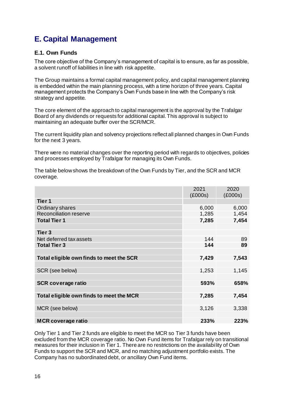# **E. Capital Management**

### **E.1. Own Funds**

The core objective of the Company's management of capital is to ensure, as far as possible, a solvent runoff of liabilities in line with risk appetite.

The Group maintains a formal capital management policy, and capital management planning is embedded within the main planning process, with a time horizon of three years. Capital management protects the Company's Own Funds base in line with the Company's risk strategy and appetite.

The core element of the approach to capital management is the approval by the Trafalgar Board of any dividends or requests for additional capital. This approval is subject to maintaining an adequate buffer over the SCR/MCR.

The current liquidity plan and solvency projections reflect all planned changes in Own Funds for the next 3 years.

There were no material changes over the reporting period with regards to objectives, policies and processes employed by Trafalgar for managing its Own Funds.

The table below shows the breakdown of the Own Funds by Tier, and the SCR and MCR coverage.

|                                          | 2021<br>(£000s) | 2020<br>(£000s) |
|------------------------------------------|-----------------|-----------------|
| Tier 1                                   |                 |                 |
| Ordinary shares                          | 6,000           | 6,000           |
| <b>Reconciliation reserve</b>            | 1,285           | 1,454           |
| <b>Total Tier 1</b>                      | 7,285           | 7,454           |
|                                          |                 |                 |
| Tier 3                                   |                 |                 |
| Net deferred tax assets                  | 144             | 89              |
| <b>Total Tier 3</b>                      | 144             | 89              |
|                                          |                 |                 |
| Total eligible own finds to meet the SCR | 7,429           | 7,543           |
|                                          |                 |                 |
| SCR (see below)                          | 1,253           | 1,145           |
|                                          |                 |                 |
| <b>SCR coverage ratio</b>                | 593%            | 658%            |
|                                          |                 |                 |
| Total eligible own finds to meet the MCR | 7,285           | 7,454           |
|                                          |                 |                 |
| MCR (see below)                          | 3,126           | 3,338           |
|                                          |                 |                 |
| <b>MCR coverage ratio</b>                | 233%            | 223%            |

Only Tier 1 and Tier 2 funds are eligible to meet the MCR so Tier 3 funds have been excluded from the MCR coverage ratio. No Own Fund items for Trafalgar rely on transitional measures for their inclusion in Tier 1. There are no restrictions on the availability of Own Funds to support the SCR and MCR, and no matching adjustment portfolio exists. The Company has no subordinated debt, or ancillary Own Fund items.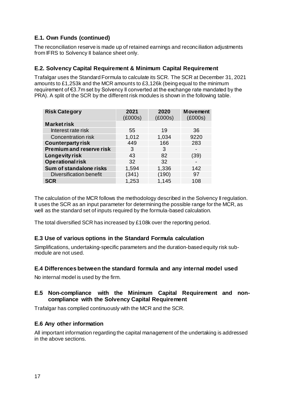## **E.1. Own Funds (continued)**

The reconciliation reserve is made up of retained earnings and reconciliation adjustments from IFRS to Solvency II balance sheet only.

### **E.2. Solvency Capital Requirement & Minimum Capital Requirement**

Trafalgar uses the Standard Formula to calculate its SCR. The SCR at December 31, 2021 amounts to £1,253k and the MCR amounts to £3,126k (being equal to the minimum requirement of €3.7m set by Solvency II converted at the exchange rate mandated by the PRA). A split of the SCR by the different risk modules is shown in the following table.

| <b>Risk Category</b>            | 2021<br>(£000s) | 2020<br>(£000s) | <b>Movement</b><br>(£000s) |
|---------------------------------|-----------------|-----------------|----------------------------|
| <b>Market risk</b>              |                 |                 |                            |
| Interest rate risk              | 55              | 19              | 36                         |
| <b>Concentration risk</b>       | 1,012           | 1,034           | 9220                       |
| <b>Counterparty risk</b>        | 449             | 166             | 283                        |
| <b>Premium and reserve risk</b> | 3               | 3               |                            |
| Longevity risk                  | 43              | 82              | (39)                       |
| <b>Operational risk</b>         | 32              | 32              |                            |
| Sum of standalone risks         | 1,594           | 1,336           | 142                        |
| <b>Diversification benefit</b>  | (341)           | (190)           | 97                         |
| <b>SCR</b>                      | 1,253           | 1,145           | 108                        |

The calculation of the MCR follows the methodology described in the Solvency II regulation. It uses the SCR as an input parameter for determining the possible range for the MCR, as well as the standard set of inputs required by the formula-based calculation.

The total diversified SCR has increased by £108k over the reporting period.

### **E.3 Use of various options in the Standard Formula calculation**

Simplifications, undertaking-specific parameters and the duration-based equity risk submodule are not used.

#### **E.4 Differences between the standard formula and any internal model used**

No internal model is used by the firm.

#### **E.5 Non-compliance with the Minimum Capital Requirement and noncompliance with the Solvency Capital Requirement**

Trafalgar has complied continuously with the MCR and the SCR.

#### **E.6 Any other information**

All important information regarding the capital management of the undertaking is addressed in the above sections.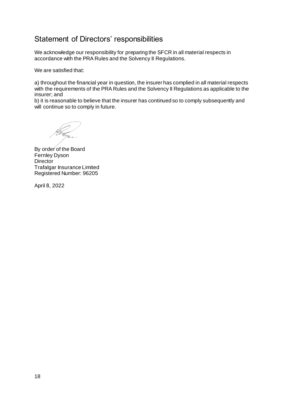## Statement of Directors' responsibilities

We acknowledge our responsibility for preparing the SFCR in all material respects in accordance with the PRA Rules and the Solvency II Regulations.

We are satisfied that:

a) throughout the financial year in question, the insurer has complied in all material respects with the requirements of the PRA Rules and the Solvency II Regulations as applicable to the insurer; and

b) it is reasonable to believe that the insurer has continued so to comply subsequently and will continue so to comply in future.

By order of the Board Fernley Dyson **Director** Trafalgar Insurance Limited Registered Number: 96205

April 8, 2022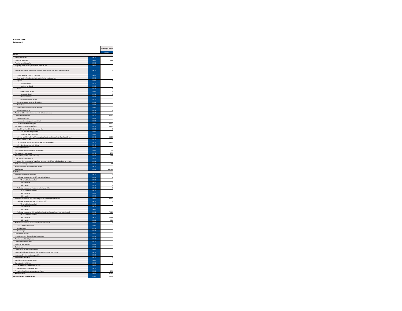Balance sheet Balance sheet

|                                                                                                                         |                              | Solvency II value        |
|-------------------------------------------------------------------------------------------------------------------------|------------------------------|--------------------------|
|                                                                                                                         |                              | C0010                    |
| Assets<br>Intangible assets                                                                                             | <b>R0030</b>                 |                          |
| Deferred tax assets                                                                                                     | R0040                        | 144                      |
| Pension benefit surplus                                                                                                 | <b>RO050</b>                 |                          |
| Property, plant & equipment held for own use                                                                            | <b>RO060</b>                 |                          |
| Investments (other than assets held for index-linked and unit-linked contracts)                                         | <b>ROO70</b>                 | d                        |
| Property (other than for own use)                                                                                       | <b>RO080</b>                 |                          |
| Holdings in related undertakings, including participations                                                              | R0090                        |                          |
| Equities                                                                                                                | R0100                        | $\overline{\phantom{a}}$ |
| Equities - listed<br>Equities - unlisted                                                                                | R0110<br>R0120               |                          |
| <b>Bonds</b>                                                                                                            | R0130                        | d                        |
| Government Bonds                                                                                                        | R0140                        | ¢                        |
| Corporate Bonds                                                                                                         | R0150                        | ¢                        |
| Structured notes<br>Collateralised securities                                                                           | R0160<br>R0170               |                          |
| Collective Investments Undertakings                                                                                     | R0180                        |                          |
| Derivatives                                                                                                             | R0190                        |                          |
| Deposits other than cash equivalents                                                                                    | <b>R0200</b>                 |                          |
| Other investments<br>Assets held for index-linked and unit-linked contracts                                             | R0210<br>R0220               | $\overline{c}$           |
| Loans and mortgages                                                                                                     | R0230                        | 8,690                    |
| Loans on policies                                                                                                       | R0240                        |                          |
| Loans and mortgages to individuals                                                                                      | <b>R0250</b>                 |                          |
| Other loans and mortgages                                                                                               | R0260                        | 8,690                    |
| Reinsurance recoverables from:                                                                                          | R0270<br>R0280               | 6,220<br>¢               |
| Non-life and health similar to non-life<br>Non-life excluding health                                                    | R0290                        |                          |
| Health similar to non-life                                                                                              | <b>RO300</b>                 |                          |
| Life and health similar to life, excluding health and index-linked and unit-linked                                      | R0310                        | 6,220                    |
| Health similar to life                                                                                                  | R0320                        |                          |
| Life excluding health and index-linked and unit-linked<br>Life index-linked and unit-linked                             | R0330<br>R0340               | 6,220                    |
| Deposits to cedants                                                                                                     | <b>R0350</b>                 |                          |
| Insurance and intermediaries receivables                                                                                | R0360                        | 12                       |
| Reinsurance receivables                                                                                                 | R0370                        | 172                      |
| Receivables (trade, not insurance)                                                                                      | R0380                        | 207                      |
| Own shares (held directly)<br>Amounts due in respect of own fund items or initial fund called up but not yet paid in    | <b>R0390</b><br>R0400        |                          |
| Cash and cash equivalents                                                                                               | R0410                        | 54                       |
| Any other assets, not elsewhere shown<br>j                                                                              | R0420                        |                          |
| <b>Total assets</b><br>Liabilities                                                                                      | <b>RO500</b>                 | 15,499                   |
| Technical provisions - non-life                                                                                         | <b>R0510</b>                 | s                        |
| Technical provisions - non-life (excluding health)                                                                      | <b>R0520</b>                 | 5                        |
| TP calculated as a whole                                                                                                | <b>R0530</b>                 |                          |
| <b>Best Estimate</b>                                                                                                    | <b>R0540</b>                 | ś                        |
| Risk margin<br>Technical provisions - health (similar to non-life)                                                      | <b>R0550</b><br><b>R0560</b> | d<br>d                   |
| TP calculated as a whole                                                                                                | <b>ROS70</b>                 |                          |
| <b>Best Estimate</b>                                                                                                    | <b>R0580</b>                 |                          |
| Risk margin                                                                                                             | <b>R0590</b>                 |                          |
| Technical provisions - life (excluding index-linked and unit-linked)<br>Technical provisions - health (similar to life) | <b>R0600</b><br>R0610        | 7,820<br>C               |
| TP calculated as a whole                                                                                                | <b>RO620</b>                 |                          |
| <b>Best Estimate</b>                                                                                                    | R0630                        |                          |
| Risk margin                                                                                                             | R0640                        |                          |
| Technical provisions - life (excluding health and index-linked and unit-linked)                                         | <b>R0650</b>                 | 7,820                    |
| TP calculated as a whole<br><b>Best Estimate</b>                                                                        | R0660<br><b>RO670</b>        | 7.194                    |
| Risk margin                                                                                                             | <b>R0680</b>                 | 625                      |
| Technical provisions - index-linked and unit-linked                                                                     | <b>R0690</b>                 | $\mathfrak c$            |
| TP calculated as a whole                                                                                                | <b>R0700</b>                 |                          |
| <b>Best Estimate</b>                                                                                                    | R0710<br><b>RO720</b>        |                          |
| Risk margin<br>Contingent liabilities                                                                                   | R0740                        |                          |
| Provisions other than technical provisions                                                                              | <b>R0750</b>                 |                          |
| Pension benefit obligations                                                                                             | <b>R0760</b>                 |                          |
| Deposits from reinsurers                                                                                                | R0770                        |                          |
| Deferred tax liabilities<br>Derivatives                                                                                 | <b>R0780</b><br><b>R0790</b> |                          |
| f<br>Debts owed to credit institutions                                                                                  | ROBOO                        |                          |
| Financial liabilities other than debts owed to credit institutions                                                      | <b>R0810</b>                 |                          |
| Insurance & intermediaries payables                                                                                     | <b>R0820</b>                 |                          |
| Reinsurance payables                                                                                                    | <b>R0830</b><br>R0840        | ¢                        |
| Payables (trade, not insurance)<br>Subordinated liabilities                                                             | <b>R0850</b>                 | d                        |
| Subordinated liabilities not in BOF                                                                                     | <b>R0860</b>                 |                          |
| Subordinated liabilities in BOF                                                                                         | <b>R0870</b>                 |                          |
| Any other liabilities, not elsewhere shown                                                                              | <b>R0880</b>                 | 245                      |
| <b>Total liabilities</b><br><b>Excess of assets over liabilities</b>                                                    | <b>R0900</b><br>R1000        | 8,070<br>7,429           |
|                                                                                                                         |                              |                          |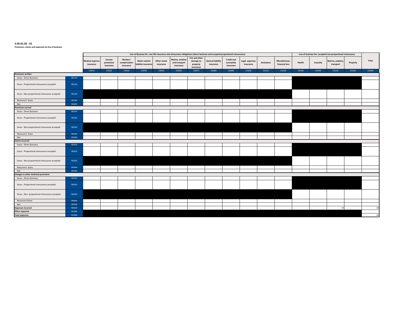#### S.05.01.02 - 01

#### Premiums, claims and expenses by line of business

|                                                |              |                                     |                                   |                                       |                                    |                          | Line of Business for: non-life insurance and reinsurance obligations (direct business and accepted proportional reinsurance) |                                                      |                                       |                                              |                             |            |                                 | Line of business for: accepted non-proportional reinsurance |          |                               |          |       |
|------------------------------------------------|--------------|-------------------------------------|-----------------------------------|---------------------------------------|------------------------------------|--------------------------|------------------------------------------------------------------------------------------------------------------------------|------------------------------------------------------|---------------------------------------|----------------------------------------------|-----------------------------|------------|---------------------------------|-------------------------------------------------------------|----------|-------------------------------|----------|-------|
|                                                |              | <b>Medical expense</b><br>insurance | Income<br>protection<br>insurance | Workers'<br>compensation<br>insurance | Motor vehicle<br>ability insurance | Other motor<br>insurance | Marine, aviation<br>and transport<br>insurance                                                                               | Fire and other<br>damage to<br>property<br>insurance | <b>General liability</b><br>insurance | <b>Credit and</b><br>suretyship<br>insurance | Legal expenses<br>insurance | Assistance | Miscellaneous<br>financial loss | Health                                                      | Casualty | Marine, aviation<br>transport | Property | Total |
|                                                |              | C0010                               | C0020                             | C0030                                 | C0040                              | C0050                    | C0060                                                                                                                        | C0070                                                | C0080                                 | C0090                                        | C0100                       | C0110      | C0120                           | C0130                                                       | C0140    | C0150                         | C0160    | C0200 |
| <b>Premiums written</b>                        |              |                                     |                                   |                                       |                                    |                          |                                                                                                                              |                                                      |                                       |                                              |                             |            |                                 |                                                             |          |                               |          |       |
| <b>Gross - Direct Business</b>                 | R0110        |                                     |                                   |                                       |                                    |                          |                                                                                                                              |                                                      |                                       |                                              |                             |            |                                 |                                                             |          |                               |          |       |
| Gross - Proportional reinsurance accepted      | R0120        |                                     |                                   |                                       |                                    |                          |                                                                                                                              |                                                      |                                       |                                              |                             |            |                                 |                                                             |          |                               |          |       |
| Gross - Non-proportional reinsurance accepted  | R0130        |                                     |                                   |                                       |                                    |                          |                                                                                                                              |                                                      |                                       |                                              |                             |            |                                 |                                                             |          |                               |          |       |
| Reinsurers' share                              | R0140        |                                     |                                   |                                       |                                    |                          |                                                                                                                              |                                                      |                                       |                                              |                             |            |                                 |                                                             |          |                               |          |       |
| Net                                            | R0200        |                                     |                                   |                                       |                                    |                          |                                                                                                                              |                                                      |                                       |                                              |                             |            |                                 |                                                             |          |                               |          |       |
| <b>Premiums earned</b>                         |              |                                     |                                   |                                       |                                    |                          |                                                                                                                              |                                                      |                                       |                                              |                             |            |                                 |                                                             |          |                               |          |       |
| <b>Gross - Direct Business</b>                 | R0210        |                                     |                                   |                                       |                                    |                          |                                                                                                                              |                                                      |                                       |                                              |                             |            |                                 |                                                             |          |                               |          |       |
| Gross - Proportional reinsurance accepted      | R0220        |                                     |                                   |                                       |                                    |                          |                                                                                                                              |                                                      |                                       |                                              |                             |            |                                 |                                                             |          |                               |          |       |
| Gross - Non-proportional reinsurance accepted  | R0230        |                                     |                                   |                                       |                                    |                          |                                                                                                                              |                                                      |                                       |                                              |                             |            |                                 |                                                             |          |                               |          |       |
| Reinsurers' share                              | R0240        |                                     |                                   |                                       |                                    |                          |                                                                                                                              |                                                      |                                       |                                              |                             |            |                                 |                                                             |          |                               |          |       |
| Net                                            | R0300        |                                     |                                   |                                       |                                    |                          |                                                                                                                              |                                                      |                                       |                                              |                             |            |                                 |                                                             |          |                               |          |       |
| <b>Claims incurred</b>                         |              |                                     |                                   |                                       |                                    |                          |                                                                                                                              |                                                      |                                       |                                              |                             |            |                                 |                                                             |          |                               |          |       |
| <b>Gross - Direct Business</b>                 | R0310        |                                     |                                   |                                       |                                    |                          |                                                                                                                              |                                                      |                                       |                                              |                             |            |                                 |                                                             |          |                               |          |       |
| Gross - Proportional reinsurance accepted      | R0320        |                                     |                                   |                                       |                                    |                          |                                                                                                                              |                                                      |                                       |                                              |                             |            |                                 |                                                             |          |                               |          |       |
| Gross - Non-proportional reinsurance accepted  | R0330        |                                     |                                   |                                       |                                    |                          |                                                                                                                              |                                                      |                                       |                                              |                             |            |                                 |                                                             |          |                               |          |       |
| Reinsurers' share                              | R0340        |                                     |                                   |                                       |                                    |                          |                                                                                                                              |                                                      |                                       |                                              |                             |            |                                 |                                                             |          |                               |          |       |
| Net                                            | R0400        |                                     |                                   |                                       |                                    |                          |                                                                                                                              |                                                      |                                       |                                              |                             |            |                                 |                                                             |          |                               |          |       |
| Changes in other technical provisions          |              |                                     |                                   |                                       |                                    |                          |                                                                                                                              |                                                      |                                       |                                              |                             |            |                                 |                                                             |          |                               |          |       |
| <b>Gross - Direct Business</b>                 | R0410        |                                     |                                   |                                       |                                    |                          |                                                                                                                              |                                                      |                                       |                                              |                             |            |                                 |                                                             |          |                               |          |       |
| Gross - Proportional reinsurance accepted      | R0420        |                                     |                                   |                                       |                                    |                          |                                                                                                                              |                                                      |                                       |                                              |                             |            |                                 |                                                             |          |                               |          |       |
| Gross - Non- proportional reinsurance accepted | R0430        |                                     |                                   |                                       |                                    |                          |                                                                                                                              |                                                      |                                       |                                              |                             |            |                                 |                                                             |          |                               |          |       |
| Reinsurers'share                               | R0440        |                                     |                                   |                                       |                                    |                          |                                                                                                                              |                                                      |                                       |                                              |                             |            |                                 |                                                             |          |                               |          |       |
| Net                                            | <b>R0500</b> |                                     |                                   |                                       |                                    |                          |                                                                                                                              |                                                      |                                       |                                              |                             |            |                                 |                                                             |          |                               |          |       |
| <b>Expenses incurred</b>                       | <b>R0550</b> |                                     |                                   |                                       |                                    |                          |                                                                                                                              |                                                      |                                       |                                              |                             |            |                                 |                                                             |          | 33                            |          | 33    |
| Other expenses                                 | R1200        |                                     |                                   |                                       |                                    |                          |                                                                                                                              |                                                      |                                       |                                              |                             |            |                                 |                                                             |          |                               |          |       |
| <b>Total expenses</b>                          | R1300        |                                     |                                   |                                       |                                    |                          |                                                                                                                              |                                                      |                                       |                                              |                             |            |                                 |                                                             |          |                               |          | 33    |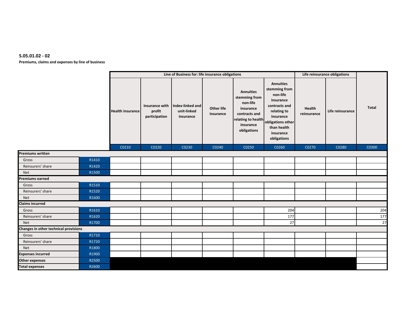#### S.05.01.02 - 02

Premiums, claims and expenses by line of business

|                                       |       |                         |                                           | Line of Business for: life insurance obligations |                         |                                                                                                                               |                                                                                                                                                                         |                       | Life reinsurance obligations |              |
|---------------------------------------|-------|-------------------------|-------------------------------------------|--------------------------------------------------|-------------------------|-------------------------------------------------------------------------------------------------------------------------------|-------------------------------------------------------------------------------------------------------------------------------------------------------------------------|-----------------------|------------------------------|--------------|
|                                       |       | <b>Health insurance</b> | Insurance with<br>profit<br>participation | Index-linked and<br>unit-linked<br>insurance     | Other life<br>insurance | <b>Annuities</b><br>stemming from<br>non-life<br>insurance<br>contracts and<br>relating to health<br>insurance<br>obligations | <b>Annuities</b><br>stemming from<br>non-life<br>insurance<br>contracts and<br>relating to<br>insurance<br>obligations other<br>than health<br>insurance<br>obligations | Health<br>reinsurance | Life reinsurance             | <b>Total</b> |
|                                       |       | C0210                   | C0220                                     | C0230                                            | C0240                   | C0250                                                                                                                         | C0260                                                                                                                                                                   | C0270                 | C0280                        | C0300        |
| <b>Premiums written</b>               |       |                         |                                           |                                                  |                         |                                                                                                                               |                                                                                                                                                                         |                       |                              |              |
| Gross                                 | R1410 |                         |                                           |                                                  |                         |                                                                                                                               |                                                                                                                                                                         |                       |                              |              |
| Reinsurers' share                     | R1420 |                         |                                           |                                                  |                         |                                                                                                                               |                                                                                                                                                                         |                       |                              |              |
| <b>Net</b>                            | R1500 |                         |                                           |                                                  |                         |                                                                                                                               |                                                                                                                                                                         |                       |                              |              |
| <b>Premiums earned</b>                |       |                         |                                           |                                                  |                         |                                                                                                                               |                                                                                                                                                                         |                       |                              |              |
| Gross                                 | R1510 |                         |                                           |                                                  |                         |                                                                                                                               |                                                                                                                                                                         |                       |                              |              |
| Reinsurers' share                     | R1520 |                         |                                           |                                                  |                         |                                                                                                                               |                                                                                                                                                                         |                       |                              |              |
| <b>Net</b>                            | R1600 |                         |                                           |                                                  |                         |                                                                                                                               |                                                                                                                                                                         |                       |                              |              |
| <b>Claims incurred</b>                |       |                         |                                           |                                                  |                         |                                                                                                                               |                                                                                                                                                                         |                       |                              |              |
| Gross                                 | R1610 |                         |                                           |                                                  |                         |                                                                                                                               | 204                                                                                                                                                                     |                       |                              | 204          |
| Reinsurers' share                     | R1620 |                         |                                           |                                                  |                         |                                                                                                                               | 177                                                                                                                                                                     |                       |                              | 177          |
| Net                                   | R1700 |                         |                                           |                                                  |                         |                                                                                                                               | 27                                                                                                                                                                      |                       |                              | 27           |
| Changes in other technical provisions |       |                         |                                           |                                                  |                         |                                                                                                                               |                                                                                                                                                                         |                       |                              |              |
| Gross                                 | R1710 |                         |                                           |                                                  |                         |                                                                                                                               |                                                                                                                                                                         |                       |                              |              |
| Reinsurers' share                     | R1720 |                         |                                           |                                                  |                         |                                                                                                                               |                                                                                                                                                                         |                       |                              |              |
| Net                                   | R1800 |                         |                                           |                                                  |                         |                                                                                                                               |                                                                                                                                                                         |                       |                              |              |
| <b>Expenses incurred</b>              | R1900 |                         |                                           |                                                  |                         |                                                                                                                               |                                                                                                                                                                         |                       |                              |              |
| <b>Other expenses</b>                 | R2500 |                         |                                           |                                                  |                         |                                                                                                                               |                                                                                                                                                                         |                       |                              |              |
| <b>Total expenses</b>                 | R2600 |                         |                                           |                                                  |                         |                                                                                                                               |                                                                                                                                                                         |                       |                              |              |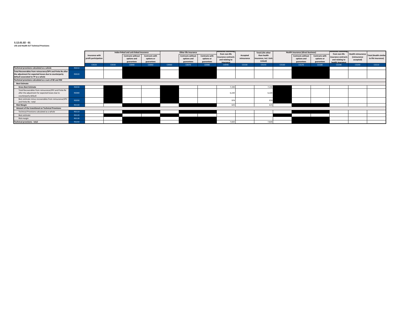#### S.12.01.02 - 01 Life and Health SLT Technical Provisions

|                                                                                                                                  |                                        |       | Index-linked and unit-linked insurance                |                                                   |       | Other life insurance                                  |                                            | munues stemi<br>from non-life                       |                         | <b>Total (Life other</b>                         |       | <b>Health insurance (direct business)</b>             |                                                   | umurues stemm<br>from non-life                             | <b>Health reinsurance</b> |                                                    |
|----------------------------------------------------------------------------------------------------------------------------------|----------------------------------------|-------|-------------------------------------------------------|---------------------------------------------------|-------|-------------------------------------------------------|--------------------------------------------|-----------------------------------------------------|-------------------------|--------------------------------------------------|-------|-------------------------------------------------------|---------------------------------------------------|------------------------------------------------------------|---------------------------|----------------------------------------------------|
|                                                                                                                                  | Insurance with<br>profit participation |       | <b>Contracts without</b><br>options and<br>guarantees | <b>Contracts with</b><br>options or<br>guarantees |       | <b>Contracts without</b><br>options and<br>guarantees | Contracts with<br>options or<br>guarantees | insurance contracts<br>and relating to<br>insurance | Accepted<br>reinsurance | than health<br>insurance, incl. Unit-<br>Linked) |       | <b>Contracts without</b><br>options and<br>guarantees | <b>Contracts with</b><br>options or<br>guarantees | insurance contracts<br>and relating to<br>health insurance | (reinsurance<br>accepted) | <b>Total (Health similar</b><br>to life insurance) |
|                                                                                                                                  | C0020                                  | C0030 | C0040                                                 | C0050                                             | C0060 | C0070                                                 | C0080                                      | C0090                                               | C0100                   | C0150                                            | C0160 | C0170                                                 | C0180                                             | C0190                                                      | C0200                     | C0210                                              |
| Technical provisions calculated as a whole                                                                                       | R0010                                  |       |                                                       |                                                   |       |                                                       |                                            |                                                     |                         |                                                  |       |                                                       |                                                   |                                                            |                           |                                                    |
| Total Recoverables from reinsurance/SPV and Finite Re after                                                                      |                                        |       |                                                       |                                                   |       |                                                       |                                            |                                                     |                         |                                                  |       |                                                       |                                                   |                                                            |                           |                                                    |
| the adjustment for expected losses due to counterparty                                                                           | R0020                                  |       |                                                       |                                                   |       |                                                       |                                            |                                                     |                         |                                                  |       |                                                       |                                                   |                                                            |                           |                                                    |
| default associated to TP as a whole                                                                                              |                                        |       |                                                       |                                                   |       |                                                       |                                            |                                                     |                         |                                                  |       |                                                       |                                                   |                                                            |                           |                                                    |
| Technical provisions calculated as a sum of BE and RM                                                                            |                                        |       |                                                       |                                                   |       |                                                       |                                            |                                                     |                         |                                                  |       |                                                       |                                                   |                                                            |                           |                                                    |
| <b>Best Estimate</b>                                                                                                             |                                        |       |                                                       |                                                   |       |                                                       |                                            |                                                     |                         |                                                  |       |                                                       |                                                   |                                                            |                           |                                                    |
| <b>Gross Best Estimate</b>                                                                                                       | R0030                                  |       |                                                       |                                                   |       |                                                       |                                            | 7.194                                               |                         | 7,194                                            |       |                                                       |                                                   |                                                            |                           |                                                    |
| Total Recoverables from reinsurance/SPV and Finite Re<br>after the adjustment for expected losses due to<br>counterparty default | R0080                                  |       |                                                       |                                                   |       |                                                       |                                            | 6.22                                                |                         | 6,220                                            |       |                                                       |                                                   |                                                            |                           |                                                    |
| Best estimate minus recoverables from reinsurance/SPV<br>and Finite Re - total                                                   | R0090                                  |       |                                                       |                                                   |       |                                                       |                                            | 07                                                  |                         | 974                                              |       |                                                       |                                                   |                                                            |                           |                                                    |
| <b>Risk Margin</b>                                                                                                               | R0100                                  |       |                                                       |                                                   |       |                                                       |                                            | 62                                                  |                         | 625                                              |       |                                                       |                                                   |                                                            |                           |                                                    |
| Amount of the transitional on Technical Provisions                                                                               |                                        |       |                                                       |                                                   |       |                                                       |                                            |                                                     |                         |                                                  |       |                                                       |                                                   |                                                            |                           |                                                    |
| Technical Provisions calculated as a whole                                                                                       | R0110                                  |       |                                                       |                                                   |       |                                                       |                                            |                                                     |                         |                                                  |       |                                                       |                                                   |                                                            |                           |                                                    |
| Best estimate                                                                                                                    | R0120                                  |       |                                                       |                                                   |       |                                                       |                                            |                                                     |                         |                                                  |       |                                                       |                                                   |                                                            |                           |                                                    |
| Risk margin                                                                                                                      | R0130                                  |       |                                                       |                                                   |       |                                                       |                                            |                                                     |                         |                                                  |       |                                                       |                                                   |                                                            |                           |                                                    |
| <b>Technical provisions - total</b>                                                                                              | R0200                                  |       |                                                       |                                                   |       |                                                       |                                            | 7.820                                               |                         | 7,820                                            |       |                                                       |                                                   |                                                            |                           |                                                    |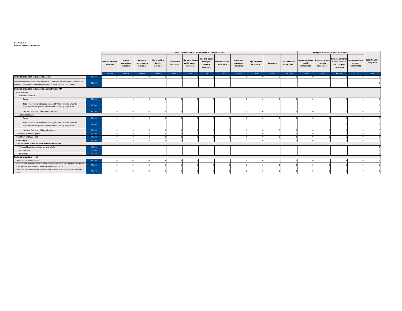#### S.17.01.02

Non-life Technical Provisions

|                                                                                                                                                           |              |                                     |                                   |                                       |                                                |                          | Direct business and accepted proportional reinsurance |                                                      |                                       |                                              |                             |            |                                        | Accepted non-proportional reinsurance     |                                            |                                                                      |                                             |                                     |
|-----------------------------------------------------------------------------------------------------------------------------------------------------------|--------------|-------------------------------------|-----------------------------------|---------------------------------------|------------------------------------------------|--------------------------|-------------------------------------------------------|------------------------------------------------------|---------------------------------------|----------------------------------------------|-----------------------------|------------|----------------------------------------|-------------------------------------------|--------------------------------------------|----------------------------------------------------------------------|---------------------------------------------|-------------------------------------|
|                                                                                                                                                           |              | <b>Medical expense</b><br>insurance | Income<br>protection<br>insurance | Workers'<br>compensation<br>insurance | <b>Motor vehicle</b><br>liability<br>insurance | Other motor<br>insurance | Marine, aviation<br>and transport<br>insurance        | Fire and other<br>damage to<br>property<br>insurance | <b>General liability</b><br>insurance | <b>Credit and</b><br>suretyship<br>insurance | Legal expenses<br>insurance | Assistance | <b>Miscellaneous</b><br>financial loss | Non-proportional<br>health<br>reinsurance | Non-proportiona<br>casualty<br>reinsurance | Non-proportional<br>marine, aviation<br>and transport<br>reinsurance | Non-proportional<br>property<br>reinsurance | <b>Total Non-Life</b><br>obligation |
|                                                                                                                                                           |              | C0020                               | C0030                             | C0040                                 | <b>COO50</b>                                   | C0060                    | C0070                                                 | C0080                                                | C0090                                 | C0100                                        | C0110                       | C0120      | C0130                                  | C0140                                     | C0150                                      | C0160                                                                | C0170                                       | C0180                               |
| Technical provisions calculated as a whole                                                                                                                | R0010        |                                     |                                   |                                       |                                                |                          |                                                       |                                                      |                                       |                                              |                             |            |                                        |                                           |                                            |                                                                      |                                             |                                     |
| Total Recoverables from reinsurance/SPV and Finite Re after the adjustment for<br>expected losses due to counterparty default associated to TP as a whole | <b>RO050</b> |                                     |                                   |                                       |                                                |                          |                                                       |                                                      |                                       |                                              |                             |            |                                        |                                           |                                            |                                                                      |                                             |                                     |
| Technical provisions calculated as a sum of BE and RM                                                                                                     |              |                                     |                                   |                                       |                                                |                          |                                                       |                                                      |                                       |                                              |                             |            |                                        |                                           |                                            |                                                                      |                                             |                                     |
| <b>Best estimate</b>                                                                                                                                      |              |                                     |                                   |                                       |                                                |                          |                                                       |                                                      |                                       |                                              |                             |            |                                        |                                           |                                            |                                                                      |                                             |                                     |
| Premium provisions                                                                                                                                        |              |                                     |                                   |                                       |                                                |                          |                                                       |                                                      |                                       |                                              |                             |            |                                        |                                           |                                            |                                                                      |                                             |                                     |
| Gross                                                                                                                                                     | R0060        |                                     |                                   |                                       |                                                |                          |                                                       |                                                      |                                       |                                              |                             |            |                                        |                                           |                                            |                                                                      |                                             |                                     |
| Total recoverable from reinsurance/SPV and Finite Re after the<br>adjustment for expected losses due to counterparty default                              | R0140        |                                     |                                   |                                       |                                                |                          |                                                       |                                                      |                                       |                                              |                             |            |                                        |                                           |                                            |                                                                      |                                             |                                     |
| Net Best Estimate of Premium Provisions                                                                                                                   | R0150        |                                     |                                   |                                       |                                                |                          |                                                       |                                                      |                                       |                                              |                             |            |                                        |                                           |                                            |                                                                      |                                             |                                     |
| Claims provisions                                                                                                                                         |              |                                     |                                   |                                       |                                                |                          |                                                       |                                                      |                                       |                                              |                             |            |                                        |                                           |                                            |                                                                      |                                             |                                     |
| Gross                                                                                                                                                     | R0160        |                                     |                                   |                                       |                                                |                          |                                                       |                                                      |                                       |                                              |                             |            |                                        |                                           |                                            |                                                                      |                                             |                                     |
| Total recoverable from reinsurance/SPV and Finite Re after the<br>adjustment for expected losses due to counterparty default                              | R0240        |                                     |                                   |                                       |                                                |                          |                                                       |                                                      |                                       |                                              |                             |            |                                        |                                           |                                            |                                                                      |                                             |                                     |
| Net Best Estimate of Claims Provisions                                                                                                                    | R0250        |                                     |                                   |                                       |                                                |                          |                                                       |                                                      |                                       |                                              |                             |            |                                        |                                           |                                            |                                                                      |                                             |                                     |
| Total Best estimate - gross                                                                                                                               | R0260        |                                     |                                   |                                       |                                                |                          |                                                       |                                                      |                                       |                                              |                             |            |                                        |                                           |                                            |                                                                      |                                             |                                     |
| <b>Total Best estimate - net</b>                                                                                                                          | R0270        |                                     |                                   |                                       |                                                |                          |                                                       |                                                      |                                       |                                              |                             |            |                                        |                                           |                                            |                                                                      |                                             |                                     |
| <b>Risk margin</b>                                                                                                                                        | R0280        |                                     |                                   |                                       |                                                |                          |                                                       |                                                      |                                       |                                              |                             |            |                                        |                                           |                                            |                                                                      |                                             |                                     |
| Amount of the transitional on Technical Provisions                                                                                                        |              |                                     |                                   |                                       |                                                |                          |                                                       |                                                      |                                       |                                              |                             |            |                                        |                                           |                                            |                                                                      |                                             |                                     |
| Technical Provisions calculated as a whole                                                                                                                | R0290        |                                     |                                   |                                       |                                                |                          |                                                       |                                                      |                                       |                                              |                             |            |                                        |                                           |                                            |                                                                      |                                             |                                     |
| Best estimate                                                                                                                                             | R0300        |                                     |                                   |                                       |                                                |                          |                                                       |                                                      |                                       |                                              |                             |            |                                        |                                           |                                            |                                                                      |                                             |                                     |
| Risk margin                                                                                                                                               | R0310        |                                     |                                   |                                       |                                                |                          |                                                       |                                                      |                                       |                                              |                             |            |                                        |                                           |                                            |                                                                      |                                             |                                     |
| <b>Technical provisions - total</b>                                                                                                                       |              |                                     |                                   |                                       |                                                |                          |                                                       |                                                      |                                       |                                              |                             |            |                                        |                                           |                                            |                                                                      |                                             |                                     |
| Technical provisions - total                                                                                                                              | R0320        |                                     |                                   |                                       |                                                |                          |                                                       |                                                      |                                       |                                              |                             |            |                                        |                                           |                                            |                                                                      |                                             |                                     |
| Recoverable from reinsurance contract/SPV and Finite Re after the adjustment<br>for expected losses due to counterparty default - total                   | R0330        |                                     |                                   |                                       |                                                |                          |                                                       |                                                      |                                       |                                              |                             |            |                                        |                                           |                                            |                                                                      |                                             |                                     |
| Technical provisions minus recoverables from reinsurance/SPV and Finite Re-<br>total                                                                      | R0340        |                                     |                                   |                                       |                                                |                          |                                                       |                                                      |                                       |                                              |                             |            |                                        |                                           |                                            |                                                                      |                                             |                                     |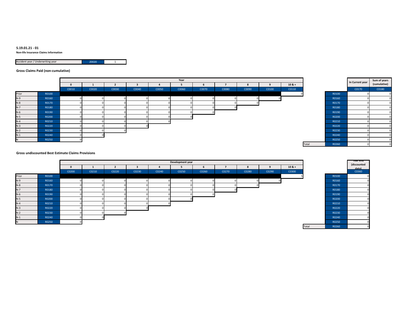#### S.19.01.21 - 01

Non-life Insurance Claims Information

| Accident year / Underwriting year | 70020 |  |
|-----------------------------------|-------|--|
|                                   |       |  |

Gross Claims Paid (non-cumulative)

|       |       |       | Year  |       |       |       |       |       |       |       |       |          |       | In Current year | Sum of years |
|-------|-------|-------|-------|-------|-------|-------|-------|-------|-------|-------|-------|----------|-------|-----------------|--------------|
|       |       |       |       |       |       |       |       | b     |       |       |       | $10 & +$ |       |                 | (cumulative) |
|       |       | C0010 | C0020 | C0030 | C0040 | C0050 | C0060 | C0070 | C0080 | C0090 | C0100 | C0110    |       | C0170           | C0180        |
| Prior | R0100 |       |       |       |       |       |       |       |       |       |       |          | R0100 |                 |              |
| $N-9$ | R0160 |       |       |       |       |       |       |       |       |       |       |          | R0160 |                 |              |
| $N-8$ | R0170 |       |       |       |       |       |       |       |       |       |       |          | R0170 |                 |              |
| $N-7$ | R0180 |       |       |       |       |       |       |       |       |       |       |          | R0180 |                 |              |
| $N-6$ | R0190 |       |       |       |       |       |       |       |       |       |       |          | R0190 |                 |              |
| $N-5$ | R0200 |       |       |       |       |       |       |       |       |       |       |          | R0200 |                 |              |
| $N-4$ | R0210 |       |       |       |       |       |       |       |       |       |       |          | R0210 |                 |              |
| $N-3$ | R0220 |       |       |       |       |       |       |       |       |       |       |          | R0220 |                 |              |
| $N-2$ | R0230 |       |       |       |       |       |       |       |       |       |       |          | R0230 |                 |              |
| $N-1$ | R0240 |       |       |       |       |       |       |       |       |       |       |          | R0240 |                 |              |
| IN.   | R0250 |       |       |       |       |       |       |       |       |       |       |          | R0250 |                 |              |

| ÷     |       | In Current year | Sum of years<br>(cumulative) |
|-------|-------|-----------------|------------------------------|
| Ō     |       | C0170           | C0180                        |
| 0     | R0100 | 0               |                              |
|       | R0160 | $\Omega$        |                              |
|       | R0170 | $\Omega$        |                              |
|       | R0180 | $\Omega$        |                              |
|       | R0190 | 0               |                              |
|       | R0200 | 0               |                              |
|       | R0210 | 0               |                              |
|       | R0220 | 0               |                              |
|       | R0230 | 0               |                              |
|       | R0240 | 0               |                              |
|       | R0250 | 0               |                              |
| Total | R0260 | $\Omega$        |                              |

Gross undiscounted Best Estimate Claims Provisions

|       |       |       |       |       |       |       | Development year |       |       |       |       |          |       |              | rear eno             |
|-------|-------|-------|-------|-------|-------|-------|------------------|-------|-------|-------|-------|----------|-------|--------------|----------------------|
|       |       |       |       |       |       |       |                  |       |       |       |       | $10 & +$ |       |              | (discounted<br>datal |
|       |       | C0200 | C0210 | C0220 | C0230 | C0240 | C0250            | C0260 | C0270 | C0280 | C0290 | C0300    |       |              | C0360                |
| Prior | R0100 |       |       |       |       |       |                  |       |       |       |       |          |       | R0100        |                      |
| $N-9$ | R0160 |       |       |       |       |       |                  |       |       |       |       |          |       | R0160        |                      |
| $N-8$ | R0170 |       |       |       |       |       |                  |       |       |       |       |          |       | R0170        |                      |
| $N-7$ | R0180 |       | n     |       |       |       |                  |       |       |       |       |          |       | R0180        |                      |
| $N-6$ | R0190 |       | n     |       |       |       |                  |       |       |       |       |          |       | R0190        |                      |
| $N-5$ | R0200 |       | n     |       |       |       |                  |       |       |       |       |          |       | R0200        |                      |
| $N-4$ | R0210 |       |       |       |       |       |                  |       |       |       |       |          |       | R0210        |                      |
| $N-3$ | R0220 |       |       |       |       |       |                  |       |       |       |       |          |       | R0220        |                      |
| $N-2$ | R0230 |       |       |       |       |       |                  |       |       |       |       |          |       | R0230        |                      |
| $N-1$ | R0240 |       |       |       |       |       |                  |       |       |       |       |          |       | R0240        |                      |
|       | R0250 |       |       |       |       |       |                  |       |       |       |       |          |       | R0250        |                      |
|       |       |       |       |       |       |       |                  |       |       |       |       |          | Total | <b>DOJED</b> |                      |

| +<br>Ō |       | rear enu<br>(discounted<br>datal<br>C0360 |
|--------|-------|-------------------------------------------|
| 5      | R0100 |                                           |
|        | R0160 |                                           |
|        | R0170 |                                           |
|        | R0180 |                                           |
|        | R0190 |                                           |
|        | R0200 |                                           |
|        | R0210 |                                           |
|        | R0220 |                                           |
|        | R0230 |                                           |
|        | R0240 |                                           |
|        | R0250 |                                           |
| Total  | R0260 |                                           |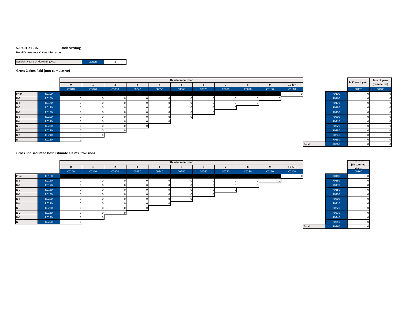#### S.19.01.21 - 02Underwriting

Non-life Insurance Claims Information

|  | Accident year / Underwriting year | 70020 |  |
|--|-----------------------------------|-------|--|
|--|-----------------------------------|-------|--|

#### Gross Claims Paid (non-cumulative)

|       |       |       | Development year |       |       |       |       |       |       |       |       |          |  |       | In Current year | Sum of years |
|-------|-------|-------|------------------|-------|-------|-------|-------|-------|-------|-------|-------|----------|--|-------|-----------------|--------------|
|       |       |       |                  |       |       |       |       | b     |       |       |       | $10 & +$ |  |       |                 | (cumulative) |
|       |       | C0010 | C0020            | C0030 | C0040 | C0050 | C0060 | C0070 | C0080 | C0090 | C0100 | C0110    |  |       | C0170           | C0180        |
| Prior | R0100 |       |                  |       |       |       |       |       |       |       |       |          |  | R0100 |                 |              |
| $N-9$ | R0160 |       |                  |       |       |       |       |       |       |       |       |          |  | R0160 |                 |              |
| $N-8$ | R0170 |       |                  |       |       |       |       |       |       |       |       |          |  | R0170 |                 |              |
| $N-7$ | R0180 |       |                  |       |       |       |       |       |       |       |       |          |  | R0180 |                 |              |
| $N-6$ | R0190 |       |                  |       |       |       |       |       |       |       |       |          |  | R0190 |                 |              |
| $N-5$ | R0200 |       |                  |       |       |       |       |       |       |       |       |          |  | R0200 |                 |              |
| $N-4$ | R0210 |       |                  |       |       |       |       |       |       |       |       |          |  | R0210 |                 |              |
| $N-3$ | R0220 |       |                  |       |       |       |       |       |       |       |       |          |  | R0220 |                 |              |
| $N-2$ | R0230 |       |                  |       |       |       |       |       |       |       |       |          |  | R0230 |                 |              |
| $N-1$ | R0240 |       |                  |       |       |       |       |       |       |       |       |          |  | R0240 |                 |              |
| N     | R0250 |       |                  |       |       |       |       |       |       |       |       |          |  | R0250 |                 |              |

| ÷     |       | In Current year | Sum of years<br>(cumulative) |
|-------|-------|-----------------|------------------------------|
| Ō     |       | C0170           | C0180                        |
| 0     | R0100 | 0               | n                            |
|       | R0160 | $\Omega$        | n                            |
|       | R0170 | 0               |                              |
|       | R0180 | 0               | n                            |
|       | R0190 | 0               | n                            |
|       | R0200 | $\Omega$        | n                            |
|       | R0210 | 0               |                              |
|       | R0220 | $\Omega$        | n                            |
|       | R0230 | 0               |                              |
|       | R0240 | $\Omega$        |                              |
|       | R0250 | 0               |                              |
| Total | R0260 | $\Omega$        |                              |

#### Gross undiscounted Best Estimate Claims Provisions

|       |       |       |       |       |       |       | Development year |       |       |           |       |          |       |              | rear enu             |
|-------|-------|-------|-------|-------|-------|-------|------------------|-------|-------|-----------|-------|----------|-------|--------------|----------------------|
|       |       |       |       |       |       |       |                  |       |       | $\bullet$ |       | $10 & +$ |       |              | (discounted<br>datal |
|       |       | C0200 | C0210 | C0220 | C0230 | C0240 | C0250            | C0260 | C0270 | C0280     | C0290 | C0300    |       |              | C0360                |
| Prior | R0100 |       |       |       |       |       |                  |       |       |           |       |          |       | R0100        |                      |
| $N-9$ | R0160 |       |       |       |       |       |                  |       |       |           |       |          |       | R0160        |                      |
| $N-8$ | R0170 |       |       |       |       |       |                  |       |       |           |       |          |       | R0170        |                      |
| $N-7$ | R0180 |       |       |       |       |       |                  |       |       |           |       |          |       | R0180        |                      |
| $N-6$ | R0190 |       |       |       |       |       |                  |       |       |           |       |          |       | R0190        |                      |
| $N-5$ | R0200 |       |       |       |       |       |                  |       |       |           |       |          |       | R0200        |                      |
| $N-4$ | R0210 |       |       |       |       |       |                  |       |       |           |       |          |       | R0210        |                      |
| $N-3$ | R0220 |       |       |       |       |       |                  |       |       |           |       |          |       | R0220        |                      |
| $N-2$ | R0230 |       |       |       |       |       |                  |       |       |           |       |          |       | R0230        |                      |
| $N-1$ | R0240 |       |       |       |       |       |                  |       |       |           |       |          |       | R0240        |                      |
|       | R0250 |       |       |       |       |       |                  |       |       |           |       |          |       | R0250        |                      |
|       |       |       |       |       |       |       |                  |       |       |           |       |          | Total | <b>DOJED</b> |                      |

| +<br>o |       | rear enu<br>(discounted<br>datal<br>C0360 |
|--------|-------|-------------------------------------------|
| 0      | R0100 |                                           |
|        | R0160 |                                           |
|        | R0170 |                                           |
|        | R0180 |                                           |
|        | R0190 |                                           |
|        | R0200 |                                           |
|        | R0210 |                                           |
|        | R0220 |                                           |
|        | R0230 |                                           |
|        | R0240 |                                           |
|        | R0250 |                                           |
| Total  | R0260 |                                           |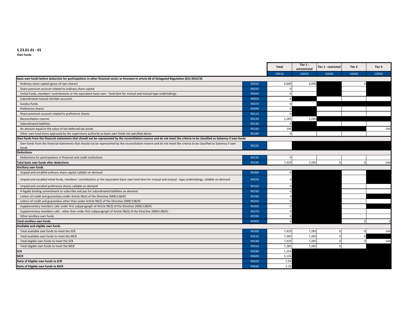#### S.23.01.01 - 01

Own funds

|                                                                                                                                                                             |              | <b>Total</b> | Tier 1 -<br>unrestricted | Tier 1 - restricted | Tier 2   | Tier 3   |
|-----------------------------------------------------------------------------------------------------------------------------------------------------------------------------|--------------|--------------|--------------------------|---------------------|----------|----------|
|                                                                                                                                                                             |              | C0010        | C0020                    | C0030               | C0040    | C0050    |
| Basic own funds before deduction for participations in other financial sector as foreseen in article 68 of Delegated Regulation (EU) 2015/35                                |              |              |                          |                     |          |          |
| Ordinary share capital (gross of own shares)                                                                                                                                | R0010        | 6,000        | 6,000                    |                     |          |          |
| Share premium account related to ordinary share capital                                                                                                                     | R0030        | $\Omega$     |                          |                     |          |          |
| linitial funds, members' contributions or the equivalent basic own - fund item for mutual and mutual-type undertakings                                                      | R0040        |              |                          |                     |          |          |
| Subordinated mutual member accounts                                                                                                                                         | R0050        |              |                          |                     |          |          |
| Surplus funds                                                                                                                                                               | R0070        | $\Omega$     |                          |                     |          |          |
| Preference shares                                                                                                                                                           | R0090        | $\Omega$     |                          |                     |          |          |
| Share premium account related to preference shares                                                                                                                          | R0110        |              |                          |                     |          |          |
| Reconciliation reserve                                                                                                                                                      | R0130        | 1,285        | 1,285                    |                     |          |          |
| Subordinated liabilities                                                                                                                                                    | R0140        | $\Omega$     |                          |                     |          |          |
| An amount equal to the value of net deferred tax assets                                                                                                                     | R0160        | 144          |                          |                     |          | 144      |
| Other own fund items approved by the supervisory authority as basic own funds not specified above                                                                           | R0180        | $\Omega$     |                          |                     |          |          |
| Own funds from the financial statements that should not be represented by the reconciliation reserve and do not meet the criteria to be classified as Solvency II own funds |              |              |                          |                     |          |          |
| Own funds from the financial statements that should not be represented by the reconciliation reserve and do not meet the criteria to be classified as Solvency II own       | R0220        |              |                          |                     |          |          |
| funds                                                                                                                                                                       |              |              |                          |                     |          |          |
| <b>Deductions</b>                                                                                                                                                           |              |              |                          |                     |          |          |
| Deductions for participations in financial and credit institutions                                                                                                          | R0230        | $\Omega$     |                          |                     |          |          |
| <b>Total basic own funds after deductions</b>                                                                                                                               | R0290        | 7,429        | 7,285                    | $\Omega$            | $\Omega$ | 144      |
| Ancillary own funds                                                                                                                                                         |              |              |                          |                     |          |          |
| Unpaid and uncalled ordinary share capital callable on demand                                                                                                               | R0300        |              |                          |                     |          |          |
| Unpaid and uncalled initial funds, members' contributions or the equivalent basic own fund item for mutual and mutual - type undertakings, callable on demand               | R0310        |              |                          |                     |          |          |
| Unpaid and uncalled preference shares callable on demand                                                                                                                    | R0320        |              |                          |                     |          |          |
| A legally binding commitment to subscribe and pay for subordinated liabilities on demand                                                                                    | R0330        |              |                          |                     |          |          |
| Letters of credit and guarantees under Article 96(2) of the Directive 2009/138/EC                                                                                           | R0340        |              |                          |                     |          |          |
| Letters of credit and guarantees other than under Article 96(2) of the Directive 2009/138/EC                                                                                | R0350        |              |                          |                     |          |          |
| Supplementary members calls under first subparagraph of Article 96(3) of the Directive 2009/138/EC                                                                          | R0360        |              |                          |                     |          |          |
| Supplementary members calls - other than under first subparagraph of Article 96(3) of the Directive 2009/138/EC                                                             | R0370        |              |                          |                     |          |          |
| Other ancillary own funds                                                                                                                                                   | R0390        |              |                          |                     |          |          |
| Total ancillary own funds                                                                                                                                                   | R0400        |              |                          |                     | $\Omega$ | $\Omega$ |
| Available and eligible own funds                                                                                                                                            |              |              |                          |                     |          |          |
| Total available own funds to meet the SCR                                                                                                                                   | <b>R0500</b> | 7,429        | 7,285                    |                     |          | 144      |
| Total available own funds to meet the MCR                                                                                                                                   | R0510        | 7,285        | 7,285                    | $\Omega$            |          |          |
| Total eligible own funds to meet the SCR                                                                                                                                    | R0540        | 7,429        | 7,285                    |                     |          | 144      |
| Total eligible own funds to meet the MCR                                                                                                                                    | R0550        | 7,285        | 7,285                    | $\Omega$            |          |          |
| <b>SCR</b>                                                                                                                                                                  | R0580        | 1,254        |                          |                     |          |          |
| <b>MCR</b>                                                                                                                                                                  | R0600        | 3,126        |                          |                     |          |          |
| Ratio of Eligible own funds to SCR                                                                                                                                          | R0620        | 5.93         |                          |                     |          |          |
| Ratio of Eligible own funds to MCR                                                                                                                                          | R0640        | 2.33         |                          |                     |          |          |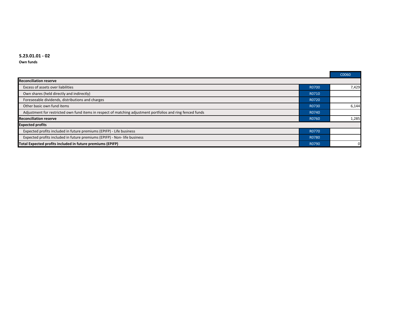#### S.23.01.01 - 02

Own funds

|                                                                                                             |       | C0060 |  |  |  |  |  |
|-------------------------------------------------------------------------------------------------------------|-------|-------|--|--|--|--|--|
| <b>Reconciliation reserve</b>                                                                               |       |       |  |  |  |  |  |
| Excess of assets over liabilities                                                                           | R0700 | 7,429 |  |  |  |  |  |
| Own shares (held directly and indirectly)                                                                   | R0710 |       |  |  |  |  |  |
| Foreseeable dividends, distributions and charges                                                            | R0720 |       |  |  |  |  |  |
| Other basic own fund items                                                                                  | R0730 | 6,144 |  |  |  |  |  |
| Adjustment for restricted own fund items in respect of matching adjustment portfolios and ring fenced funds | R0740 |       |  |  |  |  |  |
| <b>Reconciliation reserve</b>                                                                               | R0760 | 1,285 |  |  |  |  |  |
| <b>Expected profits</b>                                                                                     |       |       |  |  |  |  |  |
| Expected profits included in future premiums (EPIFP) - Life business                                        | R0770 |       |  |  |  |  |  |
| Expected profits included in future premiums (EPIFP) - Non- life business                                   | R0780 |       |  |  |  |  |  |
| Total Expected profits included in future premiums (EPIFP)                                                  | R0790 | 0     |  |  |  |  |  |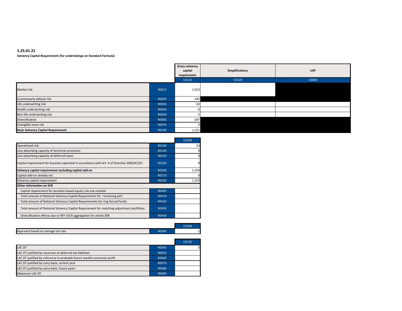#### S.25.01.21Solvency Capital Requirement (for undertakings on Standard Formula)

|                                           |       | <b>Gross solvency</b><br>capital<br>requirement | <b>Simplifications</b> | <b>USP</b> |
|-------------------------------------------|-------|-------------------------------------------------|------------------------|------------|
|                                           |       | C0110                                           | C0120                  | C0090      |
| Market risk                               | R0010 | 1,013                                           |                        |            |
| Counterparty default risk                 | R0020 | 449                                             |                        |            |
| Life underwriting risk                    | R0030 | 43                                              |                        |            |
| Health underwriting risk                  | R0040 |                                                 |                        |            |
| Non-life underwriting risk                | R0050 |                                                 |                        |            |
| Diversification                           | R0060 | $-287$                                          |                        |            |
| Intangible asset risk                     | R0070 | $\Omega$                                        |                        |            |
| <b>Basic Solvency Capital Requirement</b> | R0100 | 1,221                                           |                        |            |

|                                                                                             |       | C0100       |
|---------------------------------------------------------------------------------------------|-------|-------------|
| Operational risk                                                                            | R0130 | 33          |
| Loss-absorbing capacity of technical provisions                                             | R0140 | $\Omega$    |
| Loss-absorbing capacity of deferred taxes                                                   | R0150 | 0           |
| Capital requirement for business operated in accordance with Art. 4 of Directive 2003/41/EC | R0160 | $\mathbf 0$ |
| Solvency capital requirement excluding capital add-on                                       | R0200 | 1,254       |
| Capital add-on already set                                                                  | R0210 | $\Omega$    |
| Solvency capital requirement                                                                | R0220 | 1,254       |
| Other information on SCR                                                                    |       |             |
| Capital requirement for duration-based equity risk sub-module                               | R0400 |             |
| Total amount of Notional Solvency Capital Requirement for remaining part                    | R0410 |             |
| Total amount of Notional Solvency Capital Requirements for ring fenced funds                | R0420 |             |
| Total amount of Notional Solvency Capital Requirement for matching adjustment portfolios    | R0430 |             |
| Diversification effects due to RFF nSCR aggregation for article 304                         | R0440 |             |

|                                    |       | C0109 |
|------------------------------------|-------|-------|
| Approach based on average tax rate | R0590 |       |

|                                                                          |       | C0130 |
|--------------------------------------------------------------------------|-------|-------|
| <b>LAC DT</b>                                                            | R0640 |       |
| LAC DT justified by reversion of deferred tax liabilities                | R0650 |       |
| LAC DT justified by reference to probable future taxable economic profit | R0660 |       |
| LAC DT justified by carry back, current year                             | R0670 |       |
| LAC DT justified by carry back, future years                             | R0680 |       |
| Maximum LAC DT                                                           | R0690 |       |